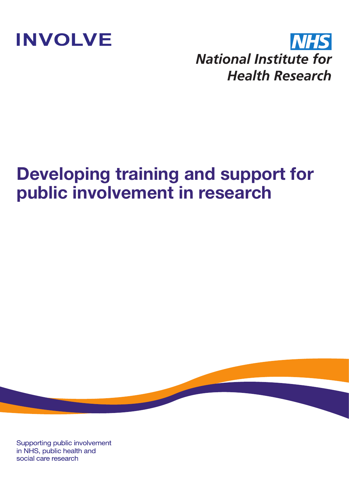

**NHS National Institute for Health Research** 

## **Developing training and support for public involvement in research**

Supporting public involvement in NHS, public health and social care research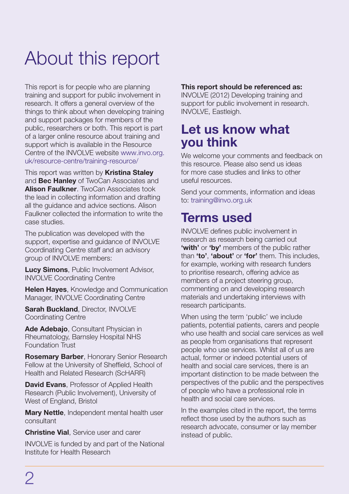# About this report

This report is for people who are planning training and support for public involvement in research. It offers a general overview of the things to think about when developing training and support packages for members of the public, researchers or both. This report is part of a larger online resource about training and support which is available in the Resource Centre of the INVOLVE website www.invo.org. uk/resource-centre/training-resource/

This report was written by **Kristina Staley** and **Bec Hanley** of TwoCan Associates and **Alison Faulkner**. TwoCan Associates took the lead in collecting information and drafting all the guidance and advice sections. Alison Faulkner collected the information to write the case studies.

The publication was developed with the support, expertise and guidance of INVOLVE Coordinating Centre staff and an advisory group of INVOLVE members:

**Lucy Simons**, Public Involvement Advisor, INVOLVE Coordinating Centre

**Helen Haves**, Knowledge and Communication Manager, INVOLVE Coordinating Centre

**Sarah Buckland, Director, INVOLVE** Coordinating Centre

**Ade Adebajo**, Consultant Physician in Rheumatology, Barnsley Hospital NHS Foundation Trust

**Rosemary Barber**, Honorary Senior Research Fellow at the University of Sheffield, School of Health and Related Research (ScHARR)

**David Evans.** Professor of Applied Health Research (Public Involvement), University of West of England, Bristol

**Mary Nettle**, Independent mental health user consultant

**Christine Vial**, Service user and carer

INVOLVE is funded by and part of the National Institute for Health Research

#### **This report should be referenced as:**

INVOLVE (2012) Developing training and support for public involvement in research. INVOLVE, Eastleigh.

### **Let us know what you think**

We welcome your comments and feedback on this resource. Please also send us ideas for more case studies and links to other useful resources.

Send your comments, information and ideas to: training@invo.org.uk

### **Terms used**

INVOLVE defines public involvement in research as research being carried out **'with'** or **'by'** members of the public rather than **'to'**, **'about'** or **'for'** them. This includes, for example, working with research funders to prioritise research, offering advice as members of a project steering group, commenting on and developing research materials and undertaking interviews with research participants.

When using the term 'public' we include patients, potential patients, carers and people who use health and social care services as well as people from organisations that represent people who use services. Whilst all of us are actual, former or indeed potential users of health and social care services, there is an important distinction to be made between the perspectives of the public and the perspectives of people who have a professional role in health and social care services.

In the examples cited in the report, the terms reflect those used by the authors such as research advocate, consumer or lay member instead of public.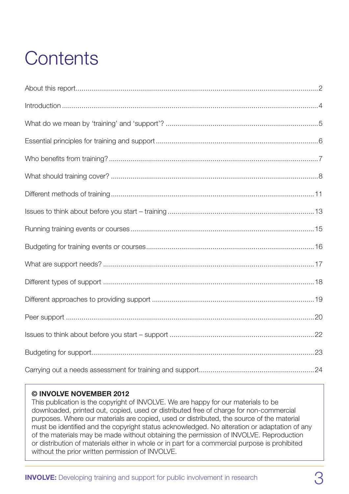# **Contents**

#### **© INVOLVE NOVEMBER 2012**

This publication is the copyright of INVOLVE. We are happy for our materials to be downloaded, printed out, copied, used or distributed free of charge for non-commercial purposes. Where our materials are copied, used or distributed, the source of the material must be identified and the copyright status acknowledged. No alteration or adaptation of any of the materials may be made without obtaining the permission of INVOLVE. Reproduction or distribution of materials either in whole or in part for a commercial purpose is prohibited without the prior written permission of INVOLVE.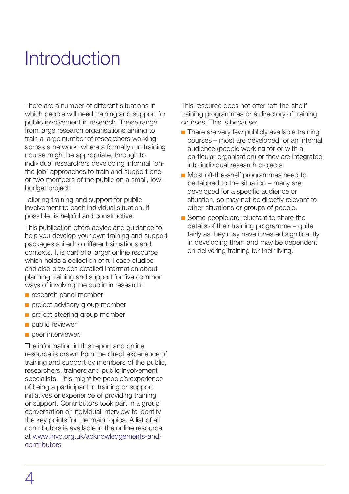## **Introduction**

There are a number of different situations in which people will need training and support for public involvement in research. These range from large research organisations aiming to train a large number of researchers working across a network, where a formally run training course might be appropriate, through to individual researchers developing informal 'onthe-job' approaches to train and support one or two members of the public on a small, lowbudget project.

Tailoring training and support for public involvement to each individual situation, if possible, is helpful and constructive.

This publication offers advice and guidance to help you develop your own training and support packages suited to different situations and contexts. It is part of a larger online resource which holds a collection of full case studies and also provides detailed information about planning training and support for five common ways of involving the public in research:

- **n** research panel member
- project advisory group member
- project steering group member
- nublic reviewer
- peer interviewer.

The information in this report and online resource is drawn from the direct experience of training and support by members of the public, researchers, trainers and public involvement specialists. This might be people's experience of being a participant in training or support initiatives or experience of providing training or support. Contributors took part in a group conversation or individual interview to identify the key points for the main topics. A list of all contributors is available in the online resource at www.invo.org.uk/acknowledgements-andcontributors

This resource does not offer 'off-the-shelf' training programmes or a directory of training courses. This is because:

- $\blacksquare$  There are very few publicly available training courses – most are developed for an internal audience (people working for or with a particular organisation) or they are integrated into individual research projects.
- **n** Most off-the-shelf programmes need to be tailored to the situation – many are developed for a specific audience or situation, so may not be directly relevant to other situations or groups of people.
- Some people are reluctant to share the details of their training programme – quite fairly as they may have invested significantly in developing them and may be dependent on delivering training for their living.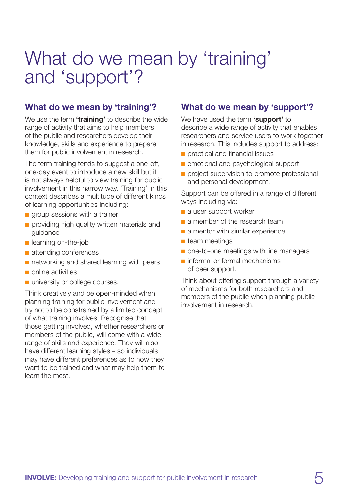## What do we mean by 'training' and 'support'?

#### **What do we mean by 'training'?**

We use the term **'training'** to describe the wide range of activity that aims to help members of the public and researchers develop their knowledge, skills and experience to prepare them for public involvement in research.

The term training tends to suggest a one-off, one-day event to introduce a new skill but it is not always helpful to view training for public involvement in this narrow way. 'Training' in this context describes a multitude of different kinds of learning opportunities including:

- $\blacksquare$  group sessions with a trainer
- n providing high quality written materials and guidance
- $\blacksquare$  learning on-the-job
- $\blacksquare$  attending conferences
- n networking and shared learning with peers
- $\blacksquare$  online activities
- university or college courses.

Think creatively and be open-minded when planning training for public involvement and try not to be constrained by a limited concept of what training involves. Recognise that those getting involved, whether researchers or members of the public, will come with a wide range of skills and experience. They will also have different learning styles – so individuals may have different preferences as to how they want to be trained and what may help them to learn the most.

#### **What do we mean by 'support'?**

We have used the term **'support'** to describe a wide range of activity that enables researchers and service users to work together in research. This includes support to address:

- n practical and financial issues
- n emotional and psychological support
- project supervision to promote professional and personal development.

Support can be offered in a range of different ways including via:

- a user support worker
- n a member of the research team
- $\blacksquare$  a mentor with similar experience
- $\blacksquare$  team meetings
- one-to-one meetings with line managers
- $\blacksquare$  informal or formal mechanisms of peer support.

Think about offering support through a variety of mechanisms for both researchers and members of the public when planning public involvement in research.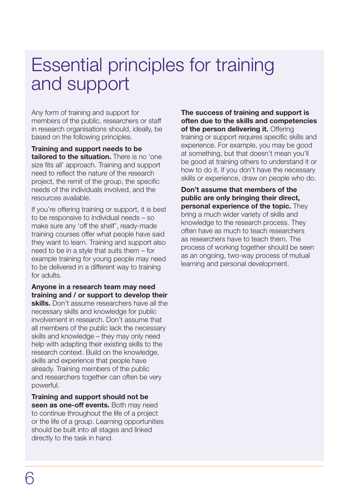### Essential principles for training and support

Any form of training and support for members of the public, researchers or staff in research organisations should, ideally, be based on the following principles.

**Training and support needs to be tailored to the situation.** There is no 'one size fits all' approach. Training and support need to reflect the nature of the research project, the remit of the group, the specific needs of the individuals involved, and the resources available.

If you're offering training or support, it is best to be responsive to individual needs – so make sure any 'off the shelf', ready-made training courses offer what people have said they want to learn. Training and support also need to be in a style that suits them – for example training for young people may need to be delivered in a different way to training for adults.

**Anyone in a research team may need training and / or support to develop their skills.** Don't assume researchers have all the necessary skills and knowledge for public involvement in research. Don't assume that all members of the public lack the necessary skills and knowledge – they may only need help with adapting their existing skills to the research context. Build on the knowledge, skills and experience that people have already. Training members of the public and researchers together can often be very powerful.

**Training and support should not be**  seen as one-off events. Both may need to continue throughout the life of a project or the life of a group. Learning opportunities should be built into all stages and linked directly to the task in hand.

**The success of training and support is often due to the skills and competencies of the person delivering it.** Offering training or support requires specific skills and experience. For example, you may be good at something, but that doesn't mean you'll be good at training others to understand it or how to do it. If you don't have the necessary skills or experience, draw on people who do.

**Don't assume that members of the public are only bringing their direct, personal experience of the topic.** They bring a much wider variety of skills and knowledge to the research process. They often have as much to teach researchers as researchers have to teach them. The process of working together should be seen as an ongoing, two-way process of mutual learning and personal development.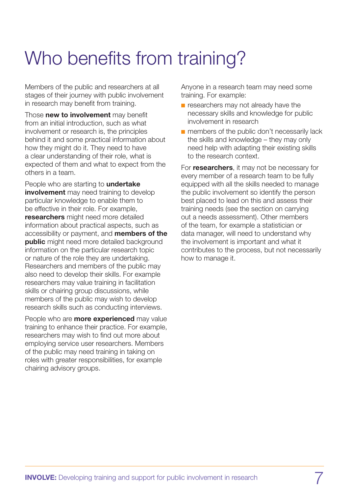# Who benefits from training?

Members of the public and researchers at all stages of their journey with public involvement in research may benefit from training.

Those **new to involvement** may benefit from an initial introduction, such as what involvement or research is, the principles behind it and some practical information about how they might do it. They need to have a clear understanding of their role, what is expected of them and what to expect from the others in a team.

People who are starting to **undertake involvement** may need training to develop particular knowledge to enable them to be effective in their role. For example, **researchers** might need more detailed information about practical aspects, such as accessibility or payment, and **members of the public** might need more detailed background information on the particular research topic or nature of the role they are undertaking. Researchers and members of the public may also need to develop their skills. For example researchers may value training in facilitation skills or chairing group discussions, while members of the public may wish to develop research skills such as conducting interviews.

People who are **more experienced** may value training to enhance their practice. For example, researchers may wish to find out more about employing service user researchers. Members of the public may need training in taking on roles with greater responsibilities, for example chairing advisory groups.

Anyone in a research team may need some training. For example:

- **n** researchers may not already have the necessary skills and knowledge for public involvement in research
- $\blacksquare$  members of the public don't necessarily lack the skills and knowledge – they may only need help with adapting their existing skills to the research context.

For **researchers**, it may not be necessary for every member of a research team to be fully equipped with all the skills needed to manage the public involvement so identify the person best placed to lead on this and assess their training needs (see the section on carrying out a needs assessment). Other members of the team, for example a statistician or data manager, will need to understand why the involvement is important and what it contributes to the process, but not necessarily how to manage it.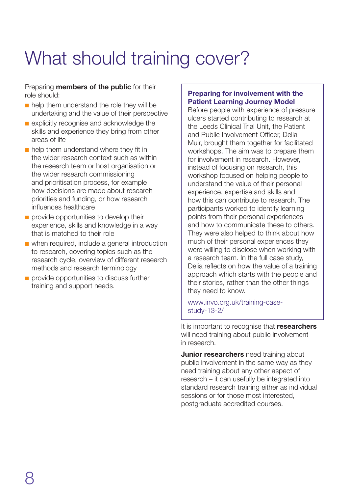# What should training cover?

Preparing **members of the public** for their role should:

- $\blacksquare$  help them understand the role they will be undertaking and the value of their perspective
- $\blacksquare$  explicitly recognise and acknowledge the skills and experience they bring from other areas of life
- $\blacksquare$  help them understand where they fit in the wider research context such as within the research team or host organisation or the wider research commissioning and prioritisation process, for example how decisions are made about research priorities and funding, or how research influences healthcare
- n provide opportunities to develop their experience, skills and knowledge in a way that is matched to their role
- $\blacksquare$  when required, include a general introduction to research, covering topics such as the research cycle, overview of different research methods and research terminology
- n provide opportunities to discuss further training and support needs.

#### **Preparing for involvement with the Patient Learning Journey Model**

Before people with experience of pressure ulcers started contributing to research at the Leeds Clinical Trial Unit, the Patient and Public Involvement Officer, Delia Muir, brought them together for facilitated workshops. The aim was to prepare them for involvement in research. However, instead of focusing on research, this workshop focused on helping people to understand the value of their personal experience, expertise and skills and how this can contribute to research. The participants worked to identify learning points from their personal experiences and how to communicate these to others. They were also helped to think about how much of their personal experiences they were willing to disclose when working with a research team. In the full case study, Delia reflects on how the value of a training approach which starts with the people and their stories, rather than the other things they need to know.

[www.invo.org.uk/training-case](www.invo.org.uk/training-case-study-13-2/)study-13-2/

It is important to recognise that **researchers** will need training about public involvement in research.

**Junior researchers** need training about public involvement in the same way as they need training about any other aspect of research – it can usefully be integrated into standard research training either as individual sessions or for those most interested, postgraduate accredited courses.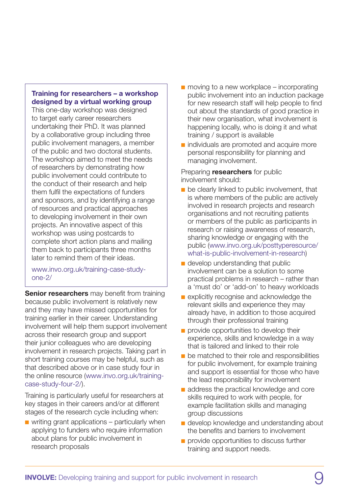#### **Training for researchers – a workshop designed by a virtual working group**

This one-day workshop was designed to target early career researchers undertaking their PhD. It was planned by a collaborative group including three public involvement managers, a member of the public and two doctoral students. The workshop aimed to meet the needs of researchers by demonstrating how public involvement could contribute to the conduct of their research and help them fulfil the expectations of funders and sponsors, and by identifying a range of resources and practical approaches to developing involvement in their own projects. An innovative aspect of this workshop was using postcards to complete short action plans and mailing them back to participants three months later to remind them of their ideas.

[www.invo.org.uk/training-case-study](www.invo.org.uk/training-case-study-one-2/)one-2/

**Senior researchers** may benefit from training because public involvement is relatively new and they may have missed opportunities for training earlier in their career. Understanding involvement will help them support involvement across their research group and support their junior colleagues who are developing involvement in research projects. Taking part in short training courses may be helpful, such as that described above or in case study four in the online resource (www.invo.org.uk/trainingcase-study-four-2/).

Training is particularly useful for researchers at key stages in their careers and/or at different stages of the research cycle including when:

 $\blacksquare$  writing grant applications – particularly when applying to funders who require information about plans for public involvement in research proposals

- $\blacksquare$  moving to a new workplace incorporating public involvement into an induction package for new research staff will help people to find out about the standards of good practice in their new organisation, what involvement is happening locally, who is doing it and what training / support is available
- $\blacksquare$  individuals are promoted and acquire more personal responsibility for planning and managing involvement.

Preparing **researchers** for public involvement should:

- $\blacksquare$  be clearly linked to public involvement, that is where members of the public are actively involved in research projects and research organisations and not recruiting patients or members of the public as participants in research or raising awareness of research, sharing knowledge or engaging with the public (www.invo.org.uk/posttyperesource/ what-is-public-involvement-in-research)
- $\blacksquare$  develop understanding that public involvement can be a solution to some practical problems in research – rather than a 'must do' or 'add-on' to heavy workloads
- $\blacksquare$  explicitly recognise and acknowledge the relevant skills and experience they may already have, in addition to those acquired through their professional training
- $\blacksquare$  provide opportunities to develop their experience, skills and knowledge in a way that is tailored and linked to their role
- $\blacksquare$  be matched to their role and responsibilities for public involvement, for example training and support is essential for those who have the lead responsibility for involvement
- $\blacksquare$  address the practical knowledge and core skills required to work with people, for example facilitation skills and managing group discussions
- $\blacksquare$  develop knowledge and understanding about the benefits and barriers to involvement
- n provide opportunities to discuss further training and support needs.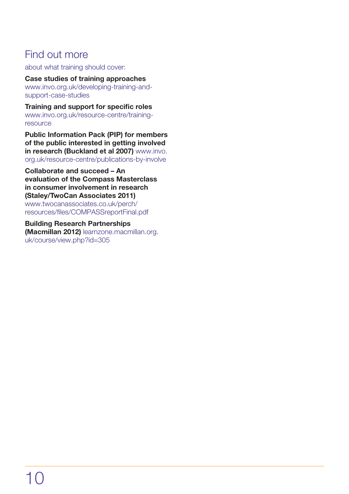### Find out more

about what training should cover:

**Case studies of training approaches**  www.invo.org.uk/developing-training-andsupport-case-studies

**Training and support for specific roles** www.invo.org.uk/resource-centre/trainingresource

**Public Information Pack (PIP) for members of the public interested in getting involved in research (Buckland et al 2007)** www.invo. org.uk/resource-centre/publications-by-involve

**Collaborate and succeed – An evaluation of the Compass Masterclass in consumer involvement in research (Staley/TwoCan Associates 2011)** www.twocanassociates.co.uk/perch/ resources/files/COMPASSreportFinal.pdf

**Building Research Partnerships (Macmillan 2012)** learnzone.macmillan.org. [uk/course/view.php?id=305](learnzone.macmillan.org.uk/course/view.php?id=305)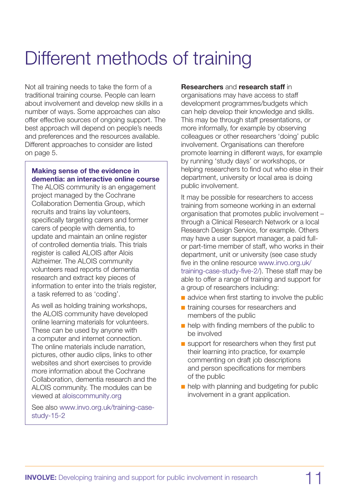## Different methods of training

Not all training needs to take the form of a traditional training course. People can learn about involvement and develop new skills in a number of ways. Some approaches can also offer effective sources of ongoing support. The best approach will depend on people's needs and preferences and the resources available. Different approaches to consider are listed on page 5.

#### **Making sense of the evidence in dementia: an interactive online course**

The ALOIS community is an engagement project managed by the Cochrane Collaboration Dementia Group, which recruits and trains lay volunteers, specifically targeting carers and former carers of people with dementia, to update and maintain an online register of controlled dementia trials. This trials register is called ALOIS after Alois Alzheimer. The ALOIS community volunteers read reports of dementia research and extract key pieces of information to enter into the trials register, a task referred to as 'coding'.

As well as holding training workshops, the ALOIS community have developed online learning materials for volunteers. These can be used by anyone with a computer and internet connection. The online materials include narration, pictures, other audio clips, links to other websites and short exercises to provide more information about the Cochrane Collaboration, dementia research and the ALOIS community. The modules can be viewed at <aloiscommunity.org>

See also www.invo.org.uk/training-casestudy-15-2

#### **Researchers** and **research staff** in

organisations may have access to staff development programmes/budgets which can help develop their knowledge and skills. This may be through staff presentations, or more informally, for example by observing colleagues or other researchers 'doing' public involvement. Organisations can therefore promote learning in different ways, for example by running 'study days' or workshops, or helping researchers to find out who else in their department, university or local area is doing public involvement.

It may be possible for researchers to access training from someone working in an external organisation that promotes public involvement – through a Clinical Research Network or a local Research Design Service, for example. Others may have a user support manager, a paid fullor part-time member of staff, who works in their department, unit or university (see case study five in the online resource www.invo.org.uk/ training-case-study-five-2/). These staff may be able to offer a range of training and support for a group of researchers including:

- $\blacksquare$  advice when first starting to involve the public
- n training courses for researchers and members of the public
- $\blacksquare$  help with finding members of the public to be involved
- **n** support for researchers when they first put their learning into practice, for example commenting on draft job descriptions and person specifications for members of the public
- $\blacksquare$  help with planning and budgeting for public involvement in a grant application.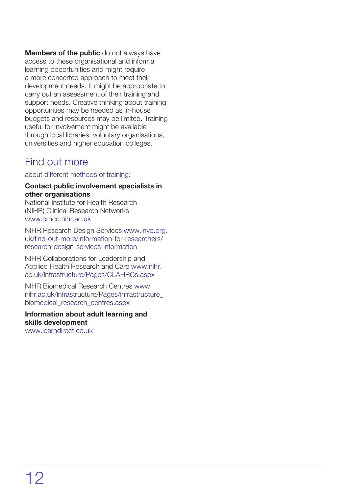**Members of the public** do not always have access to these organisational and informal learning opportunities and might require a more concerted approach to meet their development needs. It might be appropriate to carry out an assessment of their training and support needs. Creative thinking about training opportunities may be needed as in-house budgets and resources may be limited. Training useful for involvement might be available through local libraries, voluntary organisations, universities and higher education colleges.

### Find out more

about different methods of training:

#### **Contact public involvement specialists in other organisations**

National Institute for Health Research (NIHR) Clinical Research Networks www.crncc.nihr.ac.uk

NIHR Research Design Services www.invo.org. uk/find-out-more/information-for-researchers/ research-design-services-information

NIHR Collaborations for Leadership and Applied Health Research and Care www.nihr. ac.uk/infrastructure/Pages/CLAHRCs.aspx

NIHR Biomedical Research Centres www. nihr.ac.uk/infrastructure/Pages/infrastructure\_ biomedical\_research\_centres.aspx

#### **Information about adult learning and skills development** www.learndirect.co.uk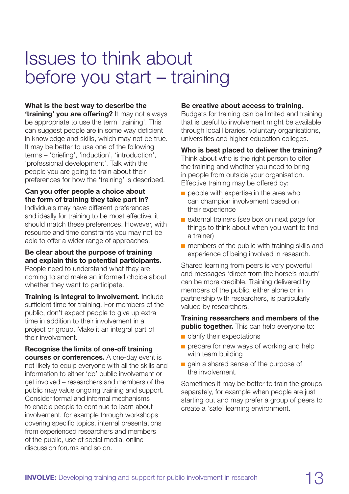## Issues to think about before you start – training

#### **What is the best way to describe the**

**'training' you are offering?** It may not always be appropriate to use the term 'training'. This can suggest people are in some way deficient in knowledge and skills, which may not be true. It may be better to use one of the following terms – 'briefing', 'induction', 'introduction', 'professional development'. Talk with the people you are going to train about their preferences for how the 'training' is described.

#### **Can you offer people a choice about the form of training they take part in?**

Individuals may have different preferences and ideally for training to be most effective, it should match these preferences. However, with resource and time constraints you may not be able to offer a wider range of approaches.

#### **Be clear about the purpose of training and explain this to potential participants.**

People need to understand what they are coming to and make an informed choice about whether they want to participate.

**Training is integral to involvement.** Include sufficient time for training. For members of the public, don't expect people to give up extra time in addition to their involvement in a project or group. Make it an integral part of their involvement.

#### **Recognise the limits of one-off training**

**courses or conferences.** A one-day event is not likely to equip everyone with all the skills and information to either 'do' public involvement or get involved – researchers and members of the public may value ongoing training and support. Consider formal and informal mechanisms to enable people to continue to learn about involvement, for example through workshops covering specific topics, internal presentations from experienced researchers and members of the public, use of social media, online discussion forums and so on.

#### **Be creative about access to training.**

Budgets for training can be limited and training that is useful to involvement might be available through local libraries, voluntary organisations, universities and higher education colleges.

#### **Who is best placed to deliver the training?**

Think about who is the right person to offer the training and whether you need to bring in people from outside your organisation. Effective training may be offered by:

- $\blacksquare$  people with expertise in the area who can champion involvement based on their experience
- $\blacksquare$  external trainers (see box on next page for things to think about when you want to find a trainer)
- $\blacksquare$  members of the public with training skills and experience of being involved in research.

Shared learning from peers is very powerful and messages 'direct from the horse's mouth' can be more credible. Training delivered by members of the public, either alone or in partnership with researchers, is particularly valued by researchers.

#### **Training researchers and members of the public together.** This can help everyone to:

- $\blacksquare$  clarify their expectations
- $\blacksquare$  prepare for new ways of working and help with team building
- **n** gain a shared sense of the purpose of the involvement.

Sometimes it may be better to train the groups separately, for example when people are just starting out and may prefer a group of peers to create a 'safe' learning environment.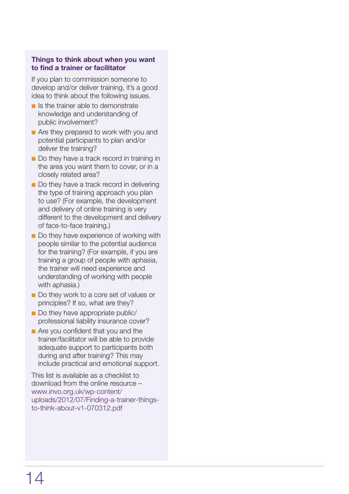#### **Things to think about when you want to find a trainer or facilitator**

If you plan to commission someone to develop and/or deliver training, it's a good idea to think about the following issues.

- $\blacksquare$  Is the trainer able to demonstrate knowledge and understanding of public involvement?
- n Are they prepared to work with you and potential participants to plan and/or deliver the training?
- Do they have a track record in training in the area you want them to cover, or in a closely related area?
- Do they have a track record in delivering the type of training approach you plan to use? (For example, the development and delivery of online training is very different to the development and delivery of face-to-face training.)
- Do they have experience of working with people similar to the potential audience for the training? (For example, if you are training a group of people with aphasia, the trainer will need experience and understanding of working with people with aphasia.)
- Do they work to a core set of values or principles? If so, what are they?
- $\blacksquare$  Do they have appropriate public/ professional liability insurance cover?
- $\blacksquare$  Are you confident that you and the trainer/facilitator will be able to provide adequate support to participants both during and after training? This may include practical and emotional support.

This list is available as a checklist to download from the online resource – www.invo.org.uk/wp-content/ uploads/2012/07/Finding-a-trainer-thingsto-think-about-v1-070312.pdf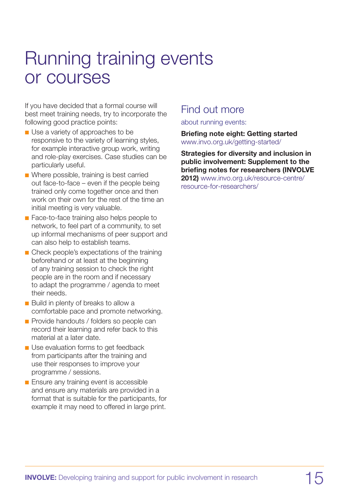## Running training events or courses

If you have decided that a formal course will best meet training needs, try to incorporate the following good practice points:

- $\blacksquare$  Use a variety of approaches to be responsive to the variety of learning styles, for example interactive group work, writing and role-play exercises. Case studies can be particularly useful.
- **n** Where possible, training is best carried out face-to-face – even if the people being trained only come together once and then work on their own for the rest of the time an initial meeting is very valuable.
- Face-to-face training also helps people to network, to feel part of a community, to set up informal mechanisms of peer support and can also help to establish teams.
- Check people's expectations of the training beforehand or at least at the beginning of any training session to check the right people are in the room and if necessary to adapt the programme / agenda to meet their needs.
- **n** Build in plenty of breaks to allow a comfortable pace and promote networking.
- **n** Provide handouts / folders so people can record their learning and refer back to this material at a later date.
- **n** Use evaluation forms to get feedback from participants after the training and use their responses to improve your programme / sessions.
- $\blacksquare$  Ensure any training event is accessible and ensure any materials are provided in a format that is suitable for the participants, for example it may need to offered in large print.

### Find out more

about running events:

**Briefing note eight: Getting started** www.invo.org.uk/getting-started/

**Strategies for diversity and inclusion in public involvement: Supplement to the briefing notes for researchers (INVOLVE 2012)** www.invo.org.uk/resource-centre/ resource-for-researchers/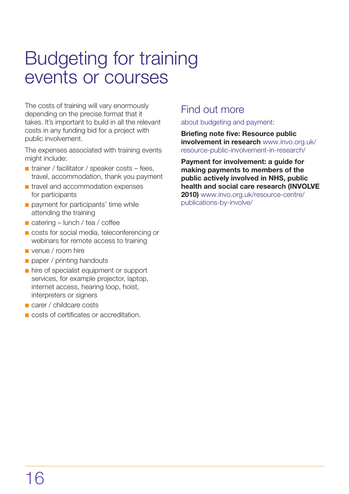## Budgeting for training events or courses

The costs of training will vary enormously depending on the precise format that it takes. It's important to build in all the relevant costs in any funding bid for a project with public involvement.

The expenses associated with training events might include:

- $\blacksquare$  trainer / facilitator / speaker costs fees, travel, accommodation, thank you payment
- n travel and accommodation expenses for participants
- **n** payment for participants' time while attending the training
- $\blacksquare$  catering lunch / tea / coffee
- **n** costs for social media, teleconferencing or webinars for remote access to training
- n venue / room hire
- $\Box$  paper / printing handouts
- n hire of specialist equipment or support services, for example projector, laptop, internet access, hearing loop, hoist, interpreters or signers
- **n** carer / childcare costs
- n costs of certificates or accreditation.

### Find out more

about budgeting and payment:

**Briefing note five: Resource public involvement in research** www.invo.org.uk/ resource-public-involvement-in-research/

**Payment for involvement: a guide for making payments to members of the public actively involved in NHS, public health and social care research (INVOLVE 2010)** www.invo.org.uk/resource-centre/

publications-by-involve/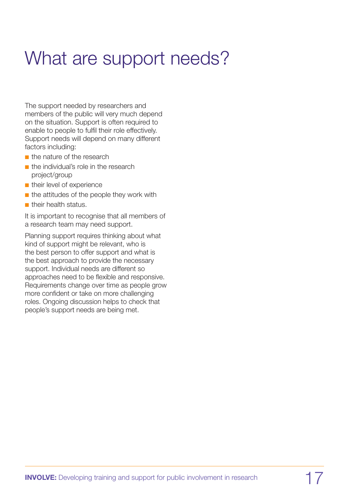# What are support needs?

The support needed by researchers and members of the public will very much depend on the situation. Support is often required to enable to people to fulfil their role effectively. Support needs will depend on many different factors including:

- $\blacksquare$  the nature of the research
- $\blacksquare$  the individual's role in the research project/group
- $\blacksquare$  their level of experience
- $\blacksquare$  the attitudes of the people they work with
- $\blacksquare$  their health status.

It is important to recognise that all members of a research team may need support.

Planning support requires thinking about what kind of support might be relevant, who is the best person to offer support and what is the best approach to provide the necessary support. Individual needs are different so approaches need to be flexible and responsive. Requirements change over time as people grow more confident or take on more challenging roles. Ongoing discussion helps to check that people's support needs are being met.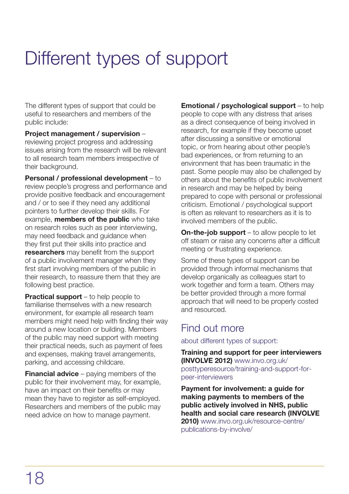# Different types of support

The different types of support that could be useful to researchers and members of the public include:

**Project management / supervision** – reviewing project progress and addressing issues arising from the research will be relevant to all research team members irrespective of their background.

**Personal / professional development** – to review people's progress and performance and provide positive feedback and encouragement and / or to see if they need any additional pointers to further develop their skills. For example, **members of the public** who take on research roles such as peer interviewing, may need feedback and guidance when they first put their skills into practice and **researchers** may benefit from the support of a public involvement manager when they first start involving members of the public in their research, to reassure them that they are following best practice.

**Practical support** – to help people to familiarise themselves with a new research environment, for example all research team members might need help with finding their way around a new location or building. Members of the public may need support with meeting their practical needs, such as payment of fees and expenses, making travel arrangements, parking, and accessing childcare.

**Financial advice** – paying members of the public for their involvement may, for example, have an impact on their benefits or may mean they have to register as self-employed. Researchers and members of the public may need advice on how to manage payment.

**Emotional / psychological support** – to help people to cope with any distress that arises as a direct consequence of being involved in research, for example if they become upset after discussing a sensitive or emotional topic, or from hearing about other people's bad experiences, or from returning to an environment that has been traumatic in the past. Some people may also be challenged by others about the benefits of public involvement in research and may be helped by being prepared to cope with personal or professional criticism. Emotional / psychological support is often as relevant to researchers as it is to involved members of the public.

**On-the-job support** – to allow people to let off steam or raise any concerns after a difficult meeting or frustrating experience.

Some of these types of support can be provided through informal mechanisms that develop organically as colleagues start to work together and form a team. Others may be better provided through a more formal approach that will need to be properly costed and resourced.

### Find out more

about different types of support:

**Training and support for peer interviewers (INVOLVE 2012)** www.invo.org.uk/ posttyperesource/training-and-support-forpeer-interviewers

**Payment for involvement: a guide for making payments to members of the public actively involved in NHS, public health and social care research (INVOLVE 2010)** www.invo.org.uk/resource-centre/ publications-by-involve/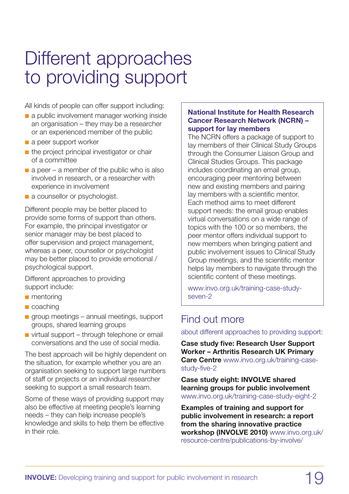## Different approaches to providing support

All kinds of people can offer support including:

- n a public involvement manager working inside an organisation – they may be a researcher or an experienced member of the public
- a peer support worker
- $\blacksquare$  the project principal investigator or chair of a committee
- $\blacksquare$  a peer a member of the public who is also involved in research, or a researcher with experience in involvement
- a counsellor or psychologist.

Different people may be better placed to provide some forms of support than others. For example, the principal investigator or senior manager may be best placed to offer supervision and project management, whereas a peer, counsellor or psychologist may be better placed to provide emotional / psychological support.

Different approaches to providing support include:

- $\blacksquare$  mentoring
- $\blacksquare$  coaching
- $\Box$  group meetings annual meetings, support groups, shared learning groups
- $\blacksquare$  virtual support through telephone or email conversations and the use of social media.

The best approach will be highly dependent on the situation, for example whether you are an organisation seeking to support large numbers of staff or projects or an individual researcher seeking to support a small research team.

Some of these ways of providing support may also be effective at meeting people's learning needs – they can help increase people's knowledge and skills to help them be effective in their role.

#### **National Institute for Health Research Cancer Research Network (NCRN) – support for lay members**

The NCRN offers a package of support to lay members of their Clinical Study Groups through the Consumer Liaison Group and Clinical Studies Groups. This package includes coordinating an email group, encouraging peer mentoring between new and existing members and pairing lay members with a scientific mentor. Each method aims to meet different support needs: the email group enables virtual conversations on a wide range of topics with the 100 or so members, the peer mentor offers individual support to new members when bringing patient and public involvement issues to Clinical Study Group meetings, and the scientific mentor helps lay members to navigate through the scientific content of these meetings.

www.invo.org.uk/training-case-studyseven-2

### Find out more

about different approaches to providing support:

**Case study five: Research User Support Worker – Arthritis Research UK Primary Care Centre** www.invo.org.uk/training-casestudy-five-2

**Case study eight: INVOLVE shared learning groups for public involvement** www.invo.org.uk/training-case-study-eight-2

**Examples of training and support for public involvement in research: a report from the sharing innovative practice workshop (INVOLVE 2010)** www.invo.org.uk/ resource-centre/publications-by-involve/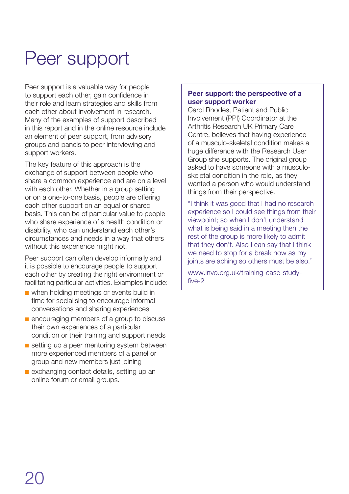## Peer support

Peer support is a valuable way for people to support each other, gain confidence in their role and learn strategies and skills from each other about involvement in research. Many of the examples of support described in this report and in the online resource include an element of peer support, from advisory groups and panels to peer interviewing and support workers.

The key feature of this approach is the exchange of support between people who share a common experience and are on a level with each other. Whether in a group setting or on a one-to-one basis, people are offering each other support on an equal or shared basis. This can be of particular value to people who share experience of a health condition or disability, who can understand each other's circumstances and needs in a way that others without this experience might not.

Peer support can often develop informally and it is possible to encourage people to support each other by creating the right environment or facilitating particular activities. Examples include:

- **n** when holding meetings or events build in time for socialising to encourage informal conversations and sharing experiences
- n encouraging members of a group to discuss their own experiences of a particular condition or their training and support needs
- setting up a peer mentoring system between more experienced members of a panel or group and new members just joining
- **n** exchanging contact details, setting up an online forum or email groups.

#### **Peer support: the perspective of a user support worker**

Carol Rhodes, Patient and Public Involvement (PPI) Coordinator at the Arthritis Research UK Primary Care Centre, believes that having experience of a musculo-skeletal condition makes a huge difference with the Research User Group she supports. The original group asked to have someone with a musculoskeletal condition in the role, as they wanted a person who would understand things from their perspective.

"I think it was good that I had no research experience so I could see things from their viewpoint; so when I don't understand what is being said in a meeting then the rest of the group is more likely to admit that they don't. Also I can say that I think we need to stop for a break now as my joints are aching so others must be also."

www.invo.org.uk/training-case-studyfive-2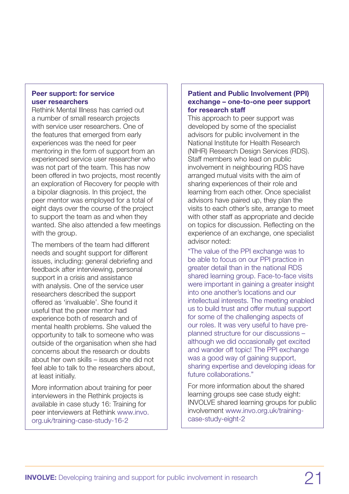#### **Peer support: for service user researchers**

Rethink Mental Illness has carried out a number of small research projects with service user researchers. One of the features that emerged from early experiences was the need for peer mentoring in the form of support from an experienced service user researcher who was not part of the team. This has now been offered in two projects, most recently an exploration of Recovery for people with a bipolar diagnosis. In this project, the peer mentor was employed for a total of eight days over the course of the project to support the team as and when they wanted. She also attended a few meetings with the group.

The members of the team had different needs and sought support for different issues, including: general debriefing and feedback after interviewing, personal support in a crisis and assistance with analysis. One of the service user researchers described the support offered as 'invaluable'. She found it useful that the peer mentor had experience both of research and of mental health problems. She valued the opportunity to talk to someone who was outside of the organisation when she had concerns about the research or doubts about her own skills – issues she did not feel able to talk to the researchers about, at least initially.

More information about training for peer interviewers in the Rethink projects is available in case study 16: Training for peer interviewers at Rethink www.invo. org.uk/training-case-study-16-2

#### **Patient and Public Involvement (PPI) exchange – one-to-one peer support for research staff**

This approach to peer support was developed by some of the specialist advisors for public involvement in the National Institute for Health Research (NIHR) Research Design Services (RDS). Staff members who lead on public involvement in neighbouring RDS have arranged mutual visits with the aim of sharing experiences of their role and learning from each other. Once specialist advisors have paired up, they plan the visits to each other's site, arrange to meet with other staff as appropriate and decide on topics for discussion. Reflecting on the experience of an exchange, one specialist advisor noted:

"The value of the PPI exchange was to be able to focus on our PPI practice in greater detail than in the national RDS shared learning group. Face-to-face visits were important in gaining a greater insight into one another's locations and our intellectual interests. The meeting enabled us to build trust and offer mutual support for some of the challenging aspects of our roles. It was very useful to have preplanned structure for our discussions – although we did occasionally get excited and wander off topic! The PPI exchange was a good way of gaining support, sharing expertise and developing ideas for future collaborations."

For more information about the shared learning groups see case study eight: INVOLVE shared learning groups for public involvement www.invo.org.uk/trainingcase-study-eight-2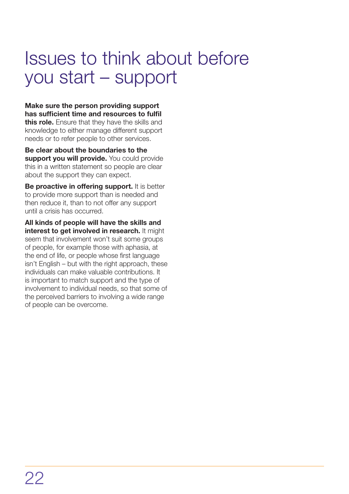## Issues to think about before you start – support

**Make sure the person providing support has sufficient time and resources to fulfil this role.** Ensure that they have the skills and knowledge to either manage different support needs or to refer people to other services.

**Be clear about the boundaries to the support you will provide.** You could provide this in a written statement so people are clear about the support they can expect.

**Be proactive in offering support.** It is better to provide more support than is needed and then reduce it, than to not offer any support until a crisis has occurred.

**All kinds of people will have the skills and interest to get involved in research.** It might seem that involvement won't suit some groups of people, for example those with aphasia, at the end of life, or people whose first language isn't English – but with the right approach, these individuals can make valuable contributions. It is important to match support and the type of involvement to individual needs, so that some of the perceived barriers to involving a wide range of people can be overcome.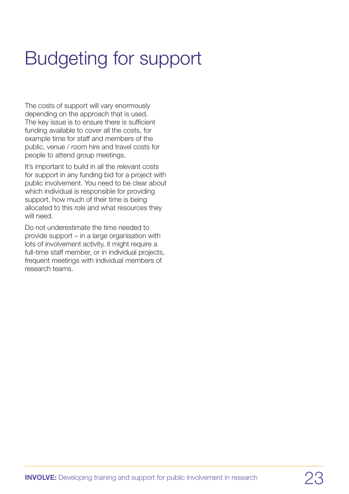# Budgeting for support

The costs of support will vary enormously depending on the approach that is used. The key issue is to ensure there is sufficient funding available to cover all the costs, for example time for staff and members of the public, venue / room hire and travel costs for people to attend group meetings.

It's important to build in all the relevant costs for support in any funding bid for a project with public involvement. You need to be clear about which individual is responsible for providing support, how much of their time is being allocated to this role and what resources they will need.

Do not underestimate the time needed to provide support – in a large organisation with lots of involvement activity, it might require a full-time staff member, or in individual projects, frequent meetings with individual members of research teams.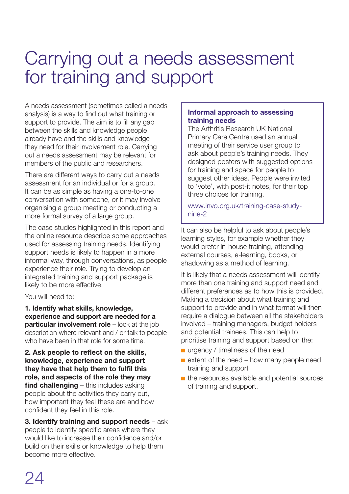## Carrying out a needs assessment for training and support

A needs assessment (sometimes called a needs analysis) is a way to find out what training or support to provide. The aim is to fill any gap between the skills and knowledge people already have and the skills and knowledge they need for their involvement role. Carrying out a needs assessment may be relevant for members of the public and researchers.

There are different ways to carry out a needs assessment for an individual or for a group. It can be as simple as having a one-to-one conversation with someone, or it may involve organising a group meeting or conducting a more formal survey of a large group.

The case studies highlighted in this report and the online resource describe some approaches used for assessing training needs. Identifying support needs is likely to happen in a more informal way, through conversations, as people experience their role. Trying to develop an integrated training and support package is likely to be more effective.

You will need to:

**1. Identify what skills, knowledge, experience and support are needed for a particular involvement role** – look at the job description where relevant and / or talk to people who have been in that role for some time.

**2. Ask people to reflect on the skills, knowledge, experience and support they have that help them to fulfil this role, and aspects of the role they may find challenging** – this includes asking people about the activities they carry out, how important they feel these are and how confident they feel in this role.

**3. Identify training and support needs** – ask people to identify specific areas where they would like to increase their confidence and/or build on their skills or knowledge to help them become more effective.

#### **Informal approach to assessing training needs**

The Arthritis Research UK National Primary Care Centre used an annual meeting of their service user group to ask about people's training needs. They designed posters with suggested options for training and space for people to suggest other ideas. People were invited to 'vote', with post-it notes, for their top three choices for training.

www.invo.org.uk/training-case-studynine-2

It can also be helpful to ask about people's learning styles, for example whether they would prefer in-house training, attending external courses, e-learning, books, or shadowing as a method of learning.

It is likely that a needs assessment will identify more than one training and support need and different preferences as to how this is provided. Making a decision about what training and support to provide and in what format will then require a dialogue between all the stakeholders involved – training managers, budget holders and potential trainees. This can help to prioritise training and support based on the:

- $\blacksquare$  urgency / timeliness of the need
- $\blacksquare$  extent of the need how many people need training and support
- $\blacksquare$  the resources available and potential sources of training and support.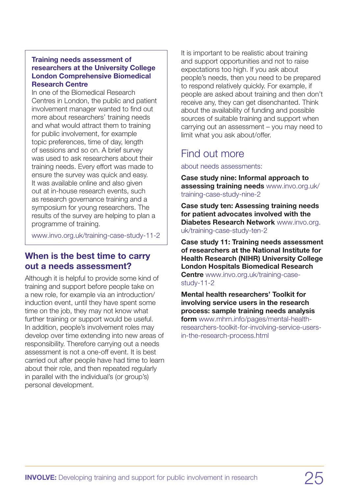#### **Training needs assessment of researchers at the University College London Comprehensive Biomedical Research Centre**

In one of the Biomedical Research Centres in London, the public and patient involvement manager wanted to find out more about researchers' training needs and what would attract them to training for public involvement, for example topic preferences, time of day, length of sessions and so on. A brief survey was used to ask researchers about their training needs. Every effort was made to ensure the survey was quick and easy. It was available online and also given out at in-house research events, such as research governance training and a symposium for young researchers. The results of the survey are helping to plan a programme of training.

<www.invo.org.uk/training-case-study-11-2>

#### **When is the best time to carry out a needs assessment?**

Although it is helpful to provide some kind of training and support before people take on a new role, for example via an introduction/ induction event, until they have spent some time on the job, they may not know what further training or support would be useful. In addition, people's involvement roles may develop over time extending into new areas of responsibility. Therefore carrying out a needs assessment is not a one-off event. It is best carried out after people have had time to learn about their role, and then repeated regularly in parallel with the individual's (or group's) personal development.

It is important to be realistic about training and support opportunities and not to raise expectations too high. If you ask about people's needs, then you need to be prepared to respond relatively quickly. For example, if people are asked about training and then don't receive any, they can get disenchanted. Think about the availability of funding and possible sources of suitable training and support when carrying out an assessment – you may need to limit what you ask about/offer.

### Find out more

about needs assessments:

**Case study nine: Informal approach to assessing training needs** www.invo.org.uk/ training-case-study-nine-2

**Case study ten: Assessing training needs for patient advocates involved with the Diabetes Research Network** www.invo.org. uk/training-case-study-ten-2

**Case study 11: Training needs assessment of researchers at the National Institute for Health Research (NIHR) University College London Hospitals Biomedical Research Centre** www.invo.org.uk/training-casestudy-11-2

**Mental health researchers' Toolkit for involving service users in the research process: sample training needs analysis form** www.mhrn.info/pages/mental-healthresearchers-toolkit-for-involving-service-usersin-the-research-process.html